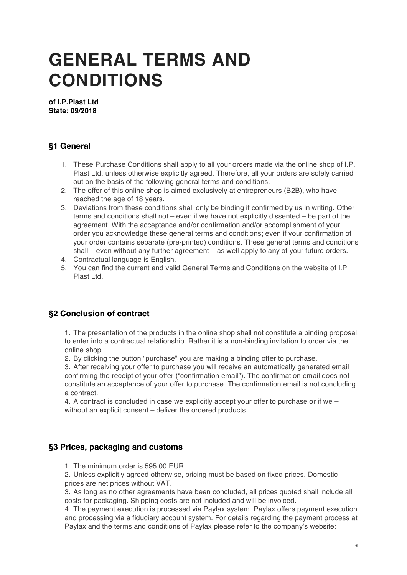# **GENERAL TERMS AND CONDITIONS**

**of I.P.Plast Ltd State: 09/2018**

# **§1 General**

- 1. These Purchase Conditions shall apply to all your orders made via the online shop of I.P. Plast Ltd. unless otherwise explicitly agreed. Therefore, all your orders are solely carried out on the basis of the following general terms and conditions.
- 2. The offer of this online shop is aimed exclusively at entrepreneurs (B2B), who have reached the age of 18 years.
- 3. Deviations from these conditions shall only be binding if confirmed by us in writing. Other terms and conditions shall not – even if we have not explicitly dissented – be part of the agreement. With the acceptance and/or confirmation and/or accomplishment of your order you acknowledge these general terms and conditions; even if your confirmation of your order contains separate (pre-printed) conditions. These general terms and conditions shall – even without any further agreement – as well apply to any of your future orders.
- 4. Contractual language is English.
- 5. You can find the current and valid General Terms and Conditions on the website of I.P. Plast Ltd.

# **§2 Conclusion of contract**

1. The presentation of the products in the online shop shall not constitute a binding proposal to enter into a contractual relationship. Rather it is a non-binding invitation to order via the online shop.

2. By clicking the button "purchase" you are making a binding offer to purchase.

3. After receiving your offer to purchase you will receive an automatically generated email confirming the receipt of your offer ("confirmation email"). The confirmation email does not constitute an acceptance of your offer to purchase. The confirmation email is not concluding a contract.

4. A contract is concluded in case we explicitly accept your offer to purchase or if we – without an explicit consent – deliver the ordered products.

## **§3 Prices, packaging and customs**

1. The minimum order is 595.00 EUR.

2. Unless explicitly agreed otherwise, pricing must be based on fixed prices. Domestic prices are net prices without VAT.

3. As long as no other agreements have been concluded, all prices quoted shall include all costs for packaging. Shipping costs are not included and will be invoiced.

4. The payment execution is processed via Paylax system. Paylax offers payment execution and processing via a fiduciary account system. For details regarding the payment process at Paylax and the terms and conditions of Paylax please refer to the company's website: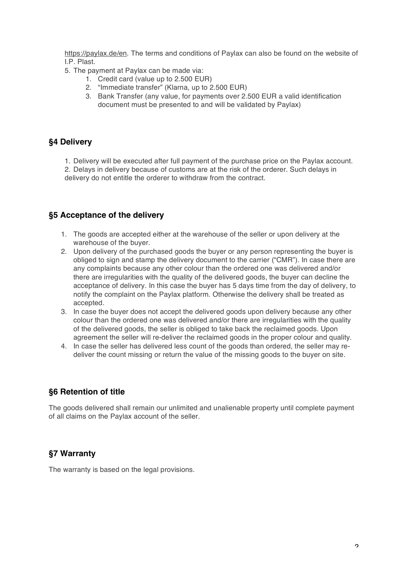https://paylax.de/en. The terms and conditions of Paylax can also be found on the website of I.P. Plast.

- 5. The payment at Paylax can be made via:
	- 1. Credit card (value up to 2.500 EUR)
	- 2. "Immediate transfer" (Klarna, up to 2.500 EUR)
	- 3. Bank Transfer (any value, for payments over 2.500 EUR a valid identification document must be presented to and will be validated by Paylax)

## **§4 Delivery**

1. Delivery will be executed after full payment of the purchase price on the Paylax account. 2. Delays in delivery because of customs are at the risk of the orderer. Such delays in delivery do not entitle the orderer to withdraw from the contract.

## **§5 Acceptance of the delivery**

- 1. The goods are accepted either at the warehouse of the seller or upon delivery at the warehouse of the buyer.
- 2. Upon delivery of the purchased goods the buyer or any person representing the buyer is obliged to sign and stamp the delivery document to the carrier ("CMR"). In case there are any complaints because any other colour than the ordered one was delivered and/or there are irregularities with the quality of the delivered goods, the buyer can decline the acceptance of delivery. In this case the buyer has 5 days time from the day of delivery, to notify the complaint on the Paylax platform. Otherwise the delivery shall be treated as accepted.
- 3. In case the buyer does not accept the delivered goods upon delivery because any other colour than the ordered one was delivered and/or there are irregularities with the quality of the delivered goods, the seller is obliged to take back the reclaimed goods. Upon agreement the seller will re-deliver the reclaimed goods in the proper colour and quality.
- 4. In case the seller has delivered less count of the goods than ordered, the seller may redeliver the count missing or return the value of the missing goods to the buyer on site.

#### **§6 Retention of title**

The goods delivered shall remain our unlimited and unalienable property until complete payment of all claims on the Paylax account of the seller.

## **§7 Warranty**

The warranty is based on the legal provisions.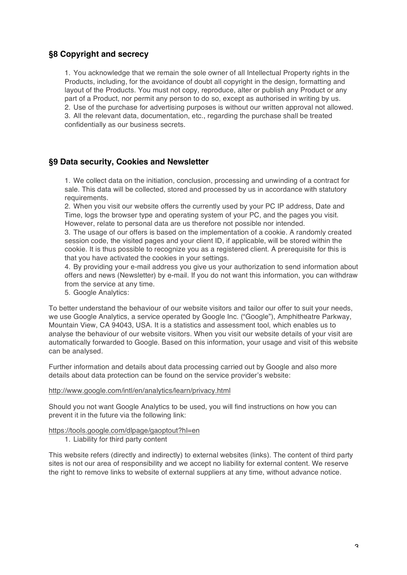## **§8 Copyright and secrecy**

1. You acknowledge that we remain the sole owner of all Intellectual Property rights in the Products, including, for the avoidance of doubt all copyright in the design, formatting and layout of the Products. You must not copy, reproduce, alter or publish any Product or any part of a Product, nor permit any person to do so, except as authorised in writing by us. 2. Use of the purchase for advertising purposes is without our written approval not allowed. 3. All the relevant data, documentation, etc., regarding the purchase shall be treated confidentially as our business secrets.

## **§9 Data security, Cookies and Newsletter**

1. We collect data on the initiation, conclusion, processing and unwinding of a contract for sale. This data will be collected, stored and processed by us in accordance with statutory requirements.

2. When you visit our website offers the currently used by your PC IP address, Date and Time, logs the browser type and operating system of your PC, and the pages you visit. However, relate to personal data are us therefore not possible nor intended.

3. The usage of our offers is based on the implementation of a cookie. A randomly created session code, the visited pages and your client ID, if applicable, will be stored within the cookie. It is thus possible to recognize you as a registered client. A prerequisite for this is that you have activated the cookies in your settings.

4. By providing your e-mail address you give us your authorization to send information about offers and news (Newsletter) by e-mail. If you do not want this information, you can withdraw from the service at any time.

5. Google Analytics:

To better understand the behaviour of our website visitors and tailor our offer to suit your needs, we use Google Analytics, a service operated by Google Inc. ("Google"), Amphitheatre Parkway, Mountain View, CA 94043, USA. It is a statistics and assessment tool, which enables us to analyse the behaviour of our website visitors. When you visit our website details of your visit are automatically forwarded to Google. Based on this information, your usage and visit of this website can be analysed.

Further information and details about data processing carried out by Google and also more details about data protection can be found on the service provider's website:

#### http://www.google.com/intl/en/analytics/learn/privacy.html

Should you not want Google Analytics to be used, you will find instructions on how you can prevent it in the future via the following link:

#### https://tools.google.com/dlpage/gaoptout?hl=en

1. Liability for third party content

This website refers (directly and indirectly) to external websites (links). The content of third party sites is not our area of responsibility and we accept no liability for external content. We reserve the right to remove links to website of external suppliers at any time, without advance notice.